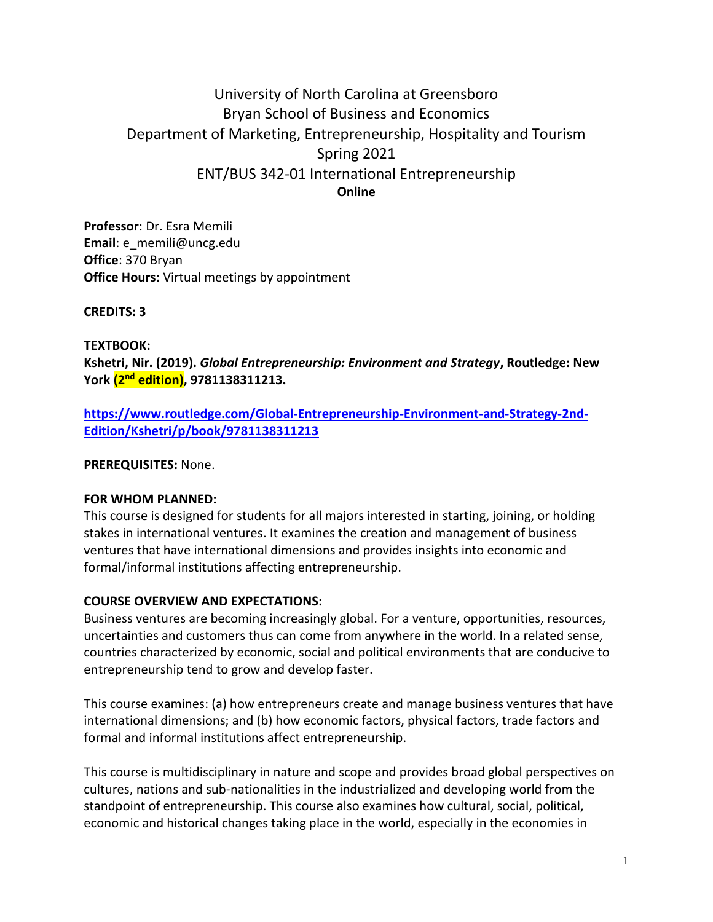# University of North Carolina at Greensboro Bryan School of Business and Economics Department of Marketing, Entrepreneurship, Hospitality and Tourism Spring 2021 ENT/BUS 342-01 International Entrepreneurship **Online**

**Professor**: Dr. Esra Memili **Email**: e\_memili@uncg.edu **Office**: 370 Bryan **Office Hours:** Virtual meetings by appointment

**CREDITS: 3**

**TEXTBOOK:** 

**Kshetri, Nir. (2019).** *Global Entrepreneurship: Environment and Strategy***, Routledge: New York (2nd edition), 9781138311213.**

**[https://www.routledge.com/Global-Entrepreneurship-Environment-and-Strategy-2nd-](https://www.routledge.com/Global-Entrepreneurship-Environment-and-Strategy-2nd-Edition/Kshetri/p/book/9781138311213)[Edition/Kshetri/p/book/9781138311213](https://www.routledge.com/Global-Entrepreneurship-Environment-and-Strategy-2nd-Edition/Kshetri/p/book/9781138311213)**

**PREREQUISITES:** None.

#### **FOR WHOM PLANNED:**

This course is designed for students for all majors interested in starting, joining, or holding stakes in international ventures. It examines the creation and management of business ventures that have international dimensions and provides insights into economic and formal/informal institutions affecting entrepreneurship.

#### **COURSE OVERVIEW AND EXPECTATIONS:**

Business ventures are becoming increasingly global. For a venture, opportunities, resources, uncertainties and customers thus can come from anywhere in the world. In a related sense, countries characterized by economic, social and political environments that are conducive to entrepreneurship tend to grow and develop faster.

This course examines: (a) how entrepreneurs create and manage business ventures that have international dimensions; and (b) how economic factors, physical factors, trade factors and formal and informal institutions affect entrepreneurship.

This course is multidisciplinary in nature and scope and provides broad global perspectives on cultures, nations and sub-nationalities in the industrialized and developing world from the standpoint of entrepreneurship. This course also examines how cultural, social, political, economic and historical changes taking place in the world, especially in the economies in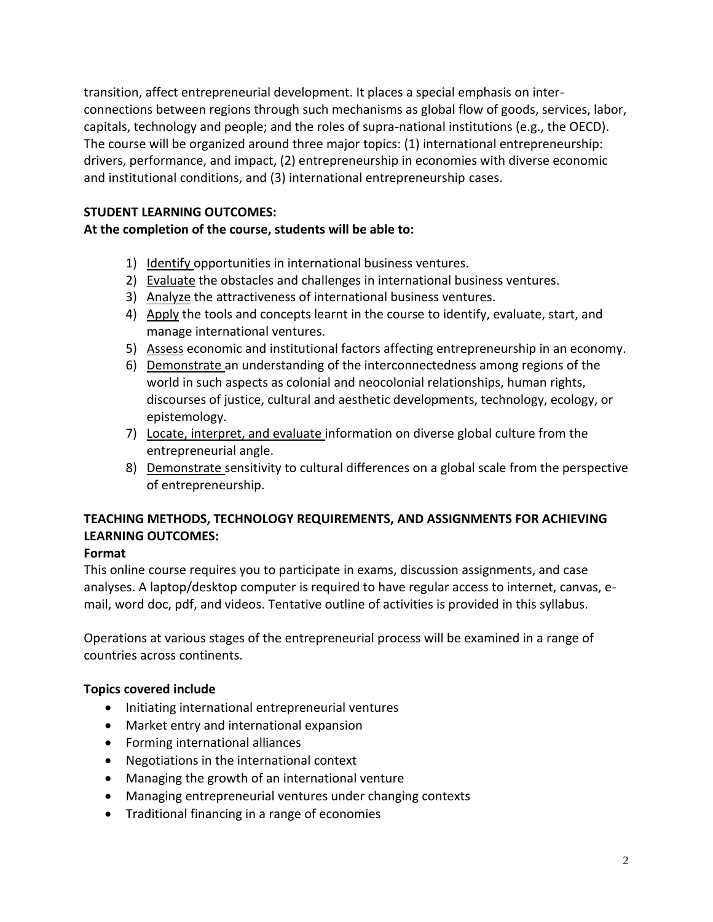transition, affect entrepreneurial development. It places a special emphasis on interconnections between regions through such mechanisms as global flow of goods, services, labor, capitals, technology and people; and the roles of supra-national institutions (e.g., the OECD). The course will be organized around three major topics: (1) international entrepreneurship: drivers, performance, and impact, (2) entrepreneurship in economies with diverse economic and institutional conditions, and (3) international entrepreneurship cases.

## **STUDENT LEARNING OUTCOMES:**

## **At the completion of the course, students will be able to:**

- 1) Identify opportunities in international business ventures.
- 2) Evaluate the obstacles and challenges in international business ventures.
- 3) Analyze the attractiveness of international business ventures.
- 4) Apply the tools and concepts learnt in the course to identify, evaluate, start, and manage international ventures.
- 5) Assess economic and institutional factors affecting entrepreneurship in an economy.
- 6) Demonstrate an understanding of the interconnectedness among regions of the world in such aspects as colonial and neocolonial relationships, human rights, discourses of justice, cultural and aesthetic developments, technology, ecology, or epistemology.
- 7) Locate, interpret, and evaluate information on diverse global culture from the entrepreneurial angle.
- 8) Demonstrate sensitivity to cultural differences on a global scale from the perspective of entrepreneurship.

## **TEACHING METHODS, TECHNOLOGY REQUIREMENTS, AND ASSIGNMENTS FOR ACHIEVING LEARNING OUTCOMES:**

## **Format**

This online course requires you to participate in exams, discussion assignments, and case analyses. A laptop/desktop computer is required to have regular access to internet, canvas, email, word doc, pdf, and videos. Tentative outline of activities is provided in this syllabus.

Operations at various stages of the entrepreneurial process will be examined in a range of countries across continents.

### **Topics covered include**

- Initiating international entrepreneurial ventures
- Market entry and international expansion
- Forming international alliances
- Negotiations in the international context
- Managing the growth of an international venture
- Managing entrepreneurial ventures under changing contexts
- Traditional financing in a range of economies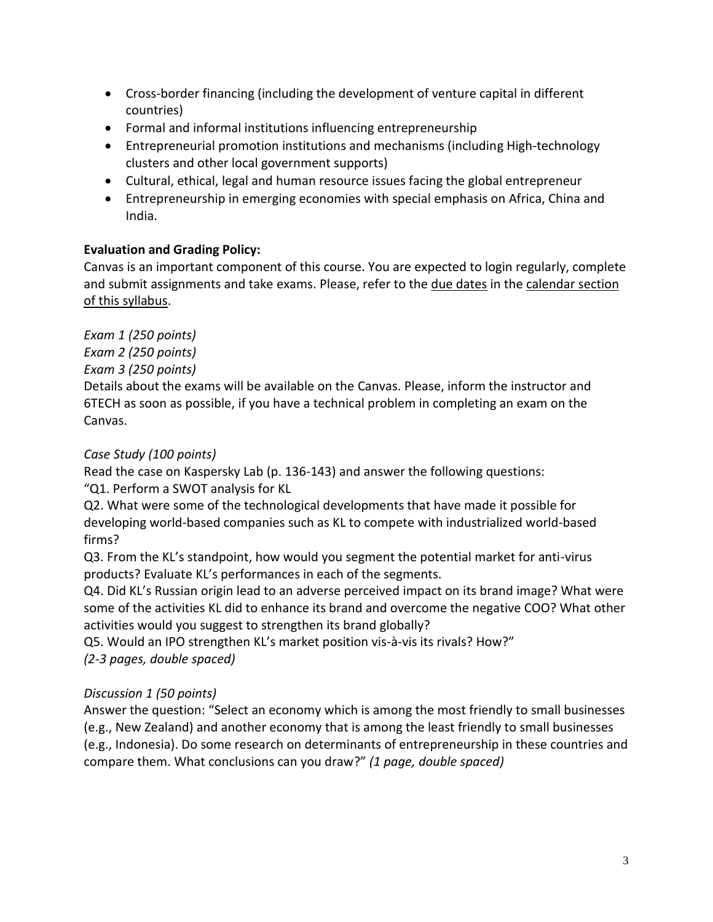- Cross-border financing (including the development of venture capital in different countries)
- Formal and informal institutions influencing entrepreneurship
- Entrepreneurial promotion institutions and mechanisms (including High-technology clusters and other local government supports)
- Cultural, ethical, legal and human resource issues facing the global entrepreneur
- Entrepreneurship in emerging economies with special emphasis on Africa, China and India.

# **Evaluation and Grading Policy:**

Canvas is an important component of this course. You are expected to login regularly, complete and submit assignments and take exams. Please, refer to the due dates in the calendar section of this syllabus.

*Exam 1 (250 points)*

*Exam 2 (250 points)*

*Exam 3 (250 points)*

Details about the exams will be available on the Canvas. Please, inform the instructor and 6TECH as soon as possible, if you have a technical problem in completing an exam on the Canvas.

# *Case Study (100 points)*

Read the case on Kaspersky Lab (p. 136-143) and answer the following questions:

"Q1. Perform a SWOT analysis for KL

Q2. What were some of the technological developments that have made it possible for developing world-based companies such as KL to compete with industrialized world-based firms?

Q3. From the KL's standpoint, how would you segment the potential market for anti-virus products? Evaluate KL's performances in each of the segments.

Q4. Did KL's Russian origin lead to an adverse perceived impact on its brand image? What were some of the activities KL did to enhance its brand and overcome the negative COO? What other activities would you suggest to strengthen its brand globally?

Q5. Would an IPO strengthen KL's market position vis-à-vis its rivals? How?"

*(2-3 pages, double spaced)*

# *Discussion 1 (50 points)*

Answer the question: "Select an economy which is among the most friendly to small businesses (e.g., New Zealand) and another economy that is among the least friendly to small businesses (e.g., Indonesia). Do some research on determinants of entrepreneurship in these countries and compare them. What conclusions can you draw?" *(1 page, double spaced)*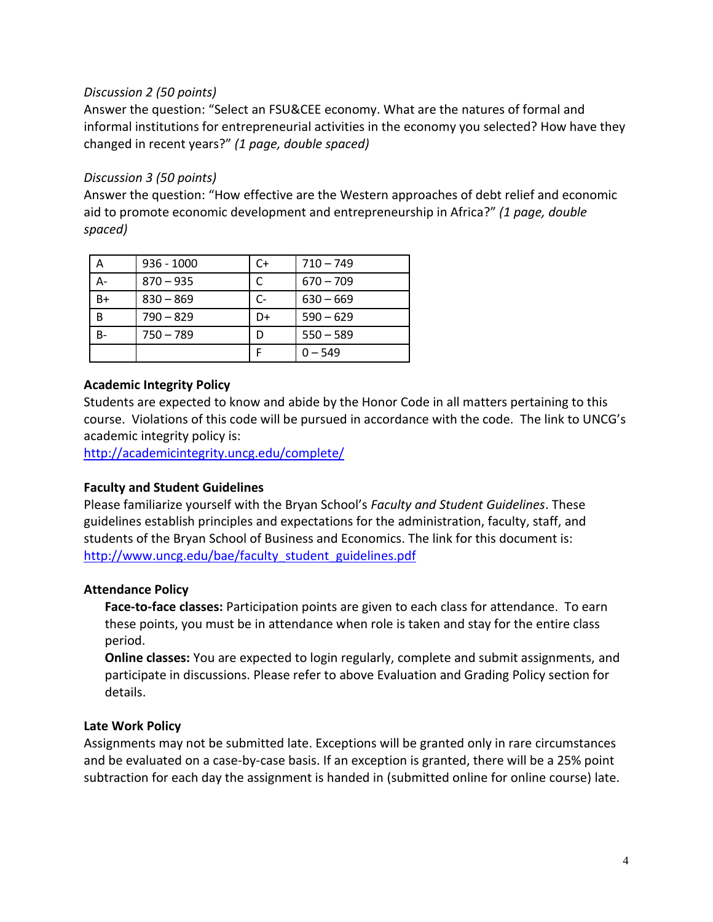### *Discussion 2 (50 points)*

Answer the question: "Select an FSU&CEE economy. What are the natures of formal and informal institutions for entrepreneurial activities in the economy you selected? How have they changed in recent years?" *(1 page, double spaced)*

## *Discussion 3 (50 points)*

Answer the question: "How effective are the Western approaches of debt relief and economic aid to promote economic development and entrepreneurship in Africa?" *(1 page, double spaced)*

| А  | $936 - 1000$ | C+ | $710 - 749$ |
|----|--------------|----|-------------|
|    | $870 - 935$  |    | $670 - 709$ |
| B+ | $830 - 869$  | C- | $630 - 669$ |
| В  | $790 - 829$  | D+ | $590 - 629$ |
| B- | $750 - 789$  |    | $550 - 589$ |
|    |              |    | $0 - 549$   |

## **Academic Integrity Policy**

Students are expected to know and abide by the Honor Code in all matters pertaining to this course. Violations of this code will be pursued in accordance with the code. The link to UNCG's academic integrity policy is:

<http://academicintegrity.uncg.edu/complete/>

## **Faculty and Student Guidelines**

Please familiarize yourself with the Bryan School's *Faculty and Student Guidelines*. These guidelines establish principles and expectations for the administration, faculty, staff, and students of the Bryan School of Business and Economics. The link for this document is: [http://www.uncg.edu/bae/faculty\\_student\\_guidelines.pdf](http://www.uncg.edu/bae/faculty_student_guidelines.pdf)

### **Attendance Policy**

**Face-to-face classes:** Participation points are given to each class for attendance. To earn these points, you must be in attendance when role is taken and stay for the entire class period.

**Online classes:** You are expected to login regularly, complete and submit assignments, and participate in discussions. Please refer to above Evaluation and Grading Policy section for details.

### **Late Work Policy**

Assignments may not be submitted late. Exceptions will be granted only in rare circumstances and be evaluated on a case-by-case basis. If an exception is granted, there will be a 25% point subtraction for each day the assignment is handed in (submitted online for online course) late.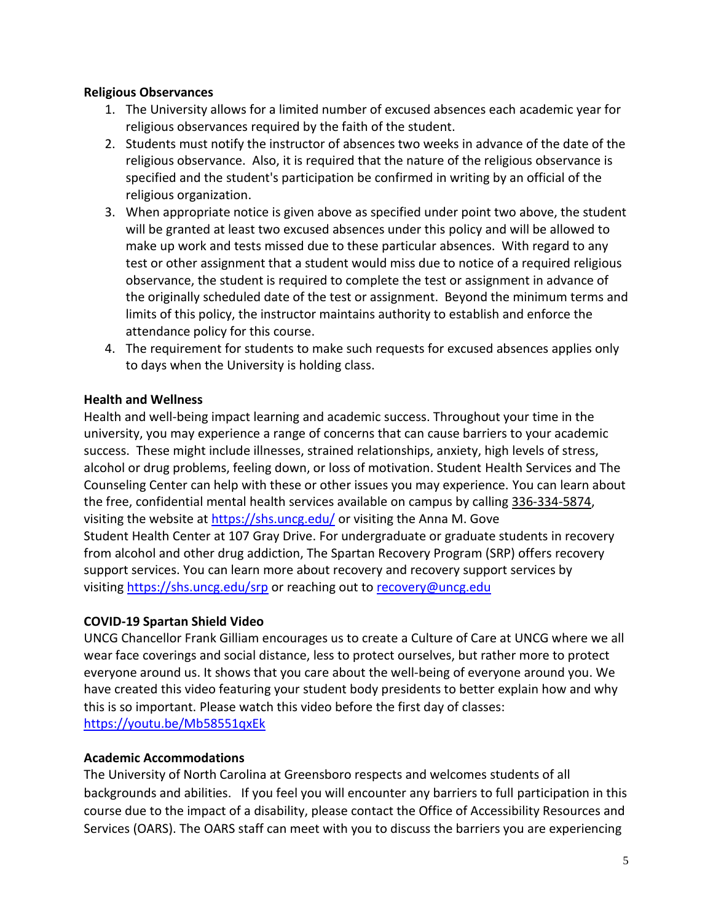#### **Religious Observances**

- 1. The University allows for a limited number of excused absences each academic year for religious observances required by the faith of the student.
- 2. Students must notify the instructor of absences two weeks in advance of the date of the religious observance. Also, it is required that the nature of the religious observance is specified and the student's participation be confirmed in writing by an official of the religious organization.
- 3. When appropriate notice is given above as specified under point two above, the student will be granted at least two excused absences under this policy and will be allowed to make up work and tests missed due to these particular absences. With regard to any test or other assignment that a student would miss due to notice of a required religious observance, the student is required to complete the test or assignment in advance of the originally scheduled date of the test or assignment. Beyond the minimum terms and limits of this policy, the instructor maintains authority to establish and enforce the attendance policy for this course.
- 4. The requirement for students to make such requests for excused absences applies only to days when the University is holding class.

#### **Health and Wellness**

Health and well-being impact learning and academic success. Throughout your time in the university, you may experience a range of concerns that can cause barriers to your academic success. These might include illnesses, strained relationships, anxiety, high levels of stress, alcohol or drug problems, feeling down, or loss of motivation. Student Health Services and The Counseling Center can help with these or other issues you may experience. You can learn about the free, confidential mental health services available on campus by calling 336-334-5874, visiting the website at <https://shs.uncg.edu/> or visiting the Anna M. Gove Student Health Center at 107 Gray Drive. For undergraduate or graduate students in recovery from alcohol and other drug addiction, The Spartan Recovery Program (SRP) offers recovery support services. You can learn more about recovery and recovery support services by visiting <https://shs.uncg.edu/srp> or reaching out to [recovery@uncg.edu](mailto:recovery@uncg.edu)

### **COVID-19 Spartan Shield Video**

UNCG Chancellor Frank Gilliam encourages us to create a Culture of Care at UNCG where we all wear face coverings and social distance, less to protect ourselves, but rather more to protect everyone around us. It shows that you care about the well-being of everyone around you. We have created this video featuring your student body presidents to better explain how and why this is so important. Please watch this video before the first day of classes: <https://youtu.be/Mb58551qxEk>

#### **Academic Accommodations**

The University of North Carolina at Greensboro respects and welcomes students of all backgrounds and abilities. If you feel you will encounter any barriers to full participation in this course due to the impact of a disability, please contact the Office of Accessibility Resources and Services (OARS). The OARS staff can meet with you to discuss the barriers you are experiencing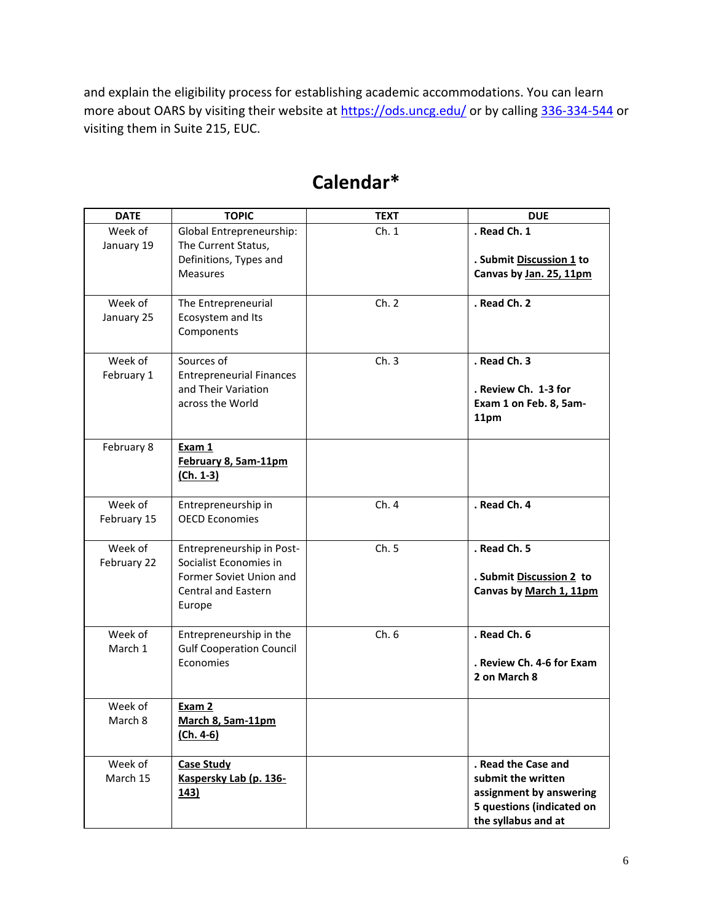and explain the eligibility process for establishing academic accommodations. You can learn more about OARS by visiting their website at <https://ods.uncg.edu/> or by calling [336-334-544](tel:336-334-544) or visiting them in Suite 215, EUC.

| <b>DATE</b>        | <b>TOPIC</b>                                               | <b>TEXT</b> | <b>DUE</b>                |
|--------------------|------------------------------------------------------------|-------------|---------------------------|
| Week of            | Global Entrepreneurship:                                   | Ch.1        | . Read Ch. 1              |
| January 19         | The Current Status,                                        |             |                           |
|                    | Definitions, Types and                                     |             | . Submit Discussion 1 to  |
|                    | <b>Measures</b>                                            |             | Canvas by Jan. 25, 11pm   |
|                    |                                                            |             |                           |
| Week of            | The Entrepreneurial                                        | Ch. 2       | . Read Ch. 2              |
| January 25         | Ecosystem and Its                                          |             |                           |
|                    | Components                                                 |             |                           |
|                    |                                                            |             |                           |
| Week of            | Sources of                                                 | Ch.3        | . Read Ch. 3              |
| February 1         | <b>Entrepreneurial Finances</b><br>and Their Variation     |             | . Review Ch. 1-3 for      |
|                    | across the World                                           |             | Exam 1 on Feb. 8, 5am-    |
|                    |                                                            |             | 11pm                      |
|                    |                                                            |             |                           |
| February 8         | Exam 1                                                     |             |                           |
|                    | February 8, 5am-11pm                                       |             |                           |
|                    | $(Ch. 1-3)$                                                |             |                           |
|                    |                                                            |             |                           |
| Week of            | Entrepreneurship in                                        | Ch.4        | . Read Ch. 4              |
| February 15        | <b>OECD Economies</b>                                      |             |                           |
|                    |                                                            |             |                           |
| Week of            | Entrepreneurship in Post-                                  | Ch. 5       | . Read Ch. 5              |
| February 22        | Socialist Economies in                                     |             |                           |
|                    | Former Soviet Union and                                    |             | . Submit Discussion 2 to  |
|                    | Central and Eastern                                        |             | Canvas by March 1, 11pm   |
|                    | Europe                                                     |             |                           |
|                    |                                                            |             |                           |
| Week of<br>March 1 | Entrepreneurship in the<br><b>Gulf Cooperation Council</b> | Ch.6        | . Read Ch. 6              |
|                    | Economies                                                  |             | . Review Ch. 4-6 for Exam |
|                    |                                                            |             | 2 on March 8              |
|                    |                                                            |             |                           |
| Week of            | Exam 2                                                     |             |                           |
| March 8            | March 8, 5am-11pm                                          |             |                           |
|                    | $(Ch. 4-6)$                                                |             |                           |
|                    |                                                            |             |                           |
| Week of            | <b>Case Study</b>                                          |             | . Read the Case and       |
| March 15           | Kaspersky Lab (p. 136-                                     |             | submit the written        |
|                    | <u>143)</u>                                                |             | assignment by answering   |
|                    |                                                            |             | 5 questions (indicated on |
|                    |                                                            |             | the syllabus and at       |

# **Calendar\***